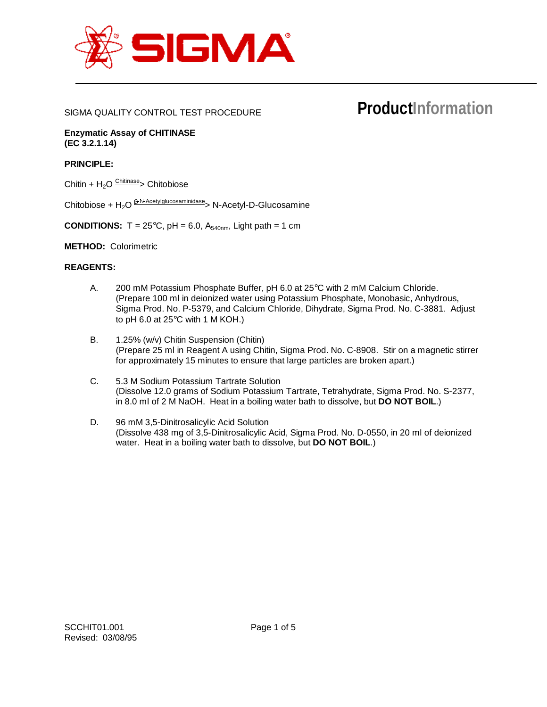

## SIGMA QUALITY CONTROL TEST PROCEDURE

# **ProductInformation**

**Enzymatic Assay of CHITINASE (EC 3.2.1.14)**

# **PRINCIPLE:**

Chitin +  $H_2O$  Chitinase > Chitobiose

Chitobiose +  $H_2O \frac{\beta \cdot N \cdot AcctyIglucosaminidase}{\beta}$ > N-Acetyl-D-Glucosamine

**CONDITIONS:**  $T = 25^{\circ}C$ ,  $pH = 6.0$ ,  $A_{540nm}$ , Light path = 1 cm

**METHOD:** Colorimetric

#### **REAGENTS:**

- A. 200 mM Potassium Phosphate Buffer, pH 6.0 at 25°C with 2 mM Calcium Chloride. (Prepare 100 ml in deionized water using Potassium Phosphate, Monobasic, Anhydrous, Sigma Prod. No. P-5379, and Calcium Chloride, Dihydrate, Sigma Prod. No. C-3881. Adjust to pH 6.0 at  $25^{\circ}$ C with 1 M KOH.)
- B. 1.25% (w/v) Chitin Suspension (Chitin) (Prepare 25 ml in Reagent A using Chitin, Sigma Prod. No. C-8908. Stir on a magnetic stirrer for approximately 15 minutes to ensure that large particles are broken apart.)
- C. 5.3 M Sodium Potassium Tartrate Solution (Dissolve 12.0 grams of Sodium Potassium Tartrate, Tetrahydrate, Sigma Prod. No. S-2377, in 8.0 ml of 2 M NaOH. Heat in a boiling water bath to dissolve, but **DO NOT BOIL**.)
- D. 96 mM 3,5-Dinitrosalicylic Acid Solution (Dissolve 438 mg of 3,5-Dinitrosalicylic Acid, Sigma Prod. No. D-0550, in 20 ml of deionized water. Heat in a boiling water bath to dissolve, but **DO NOT BOIL**.)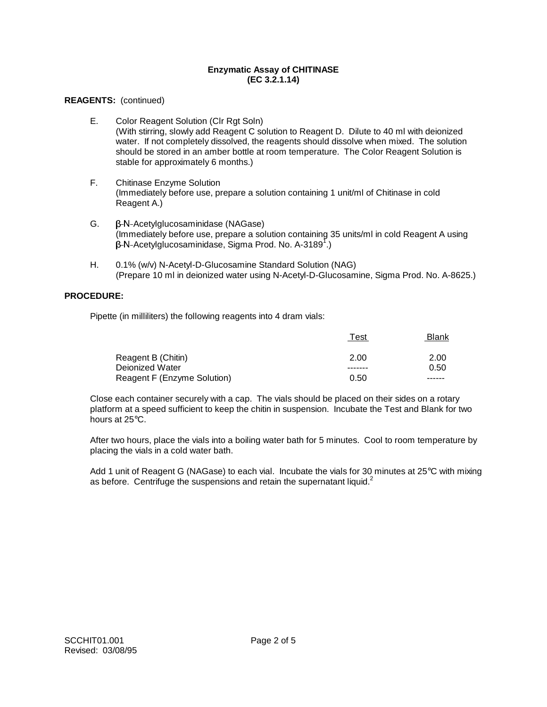## **REAGENTS:** (continued)

- E. Color Reagent Solution (Clr Rgt Soln) (With stirring, slowly add Reagent C solution to Reagent D. Dilute to 40 ml with deionized water. If not completely dissolved, the reagents should dissolve when mixed. The solution should be stored in an amber bottle at room temperature. The Color Reagent Solution is stable for approximately 6 months.)
- F. Chitinase Enzyme Solution (Immediately before use, prepare a solution containing 1 unit/ml of Chitinase in cold Reagent A.)
- $G.$   $\beta$ -N-Acetylglucosaminidase (NAGase) (Immediately before use, prepare a solution containing 35 units/ml in cold Reagent A using -N-Acetylglucosaminidase, Sigma Prod. No. A-3189<sup>7</sup>.)
- H. 0.1% (w/v) N-Acetyl-D-Glucosamine Standard Solution (NAG) (Prepare 10 ml in deionized water using N-Acetyl-D-Glucosamine, Sigma Prod. No. A-8625.)

# **PROCEDURE:**

Pipette (in milliliters) the following reagents into 4 dram vials:

|                             | Test    | Blank  |
|-----------------------------|---------|--------|
| Reagent B (Chitin)          | 2.00    | 2.00   |
| Deionized Water             | ------- | 0.50   |
| Reagent F (Enzyme Solution) | 0.50    | ------ |

Close each container securely with a cap. The vials should be placed on their sides on a rotary platform at a speed sufficient to keep the chitin in suspension. Incubate the Test and Blank for two hours at 25°C.

After two hours, place the vials into a boiling water bath for 5 minutes. Cool to room temperature by placing the vials in a cold water bath.

Add 1 unit of Reagent G (NAGase) to each vial. Incubate the vials for 30 minutes at 25°C with mixing as before. Centrifuge the suspensions and retain the supernatant liquid.<sup>2</sup>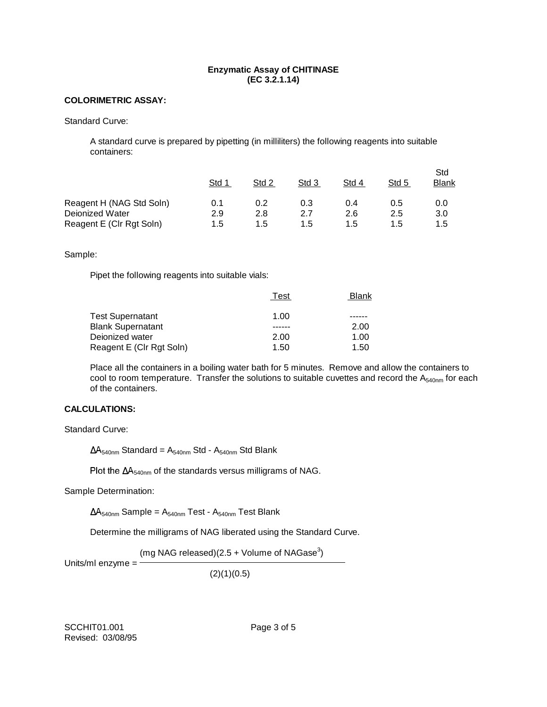## **COLORIMETRIC ASSAY:**

Standard Curve:

A standard curve is prepared by pipetting (in milliliters) the following reagents into suitable containers:

|                          | Std 1 | Std 2 | Std 3 | Std 4 | Std 5 | Std<br>Blank |
|--------------------------|-------|-------|-------|-------|-------|--------------|
| Reagent H (NAG Std Soln) | 0.1   | 0.2   | 0.3   | 0.4   | 0.5   | 0.0          |
| Deionized Water          | 2.9   | 2.8   | 2.7   | 2.6   | 2.5   | 3.0          |
| Reagent E (CIr Rgt Soln) | 1.5   | 1.5   | 1.5   | 1.5   | 1.5   | 1.5          |

#### Sample:

Pipet the following reagents into suitable vials:

|                          | Test | Blank |
|--------------------------|------|-------|
| <b>Test Supernatant</b>  | 1.00 |       |
| Blank Supernatant        |      | 2.00  |
| Deionized water          | 2.00 | 1.00  |
| Reagent E (Clr Rgt Soln) | 1.50 | 1.50  |

Place all the containers in a boiling water bath for 5 minutes. Remove and allow the containers to cool to room temperature. Transfer the solutions to suitable cuvettes and record the A<sub>540nm</sub> for each of the containers.

# **CALCULATIONS:**

Standard Curve:

 $\Delta A_{540nm}$  Standard = A<sub>540nm</sub> Std - A<sub>540nm</sub> Std Blank

Plot the  $\Delta A_{540nm}$  of the standards versus milligrams of NAG.

Sample Determination:

 $\Delta A_{540nm}$  Sample =  $A_{540nm}$  Test -  $A_{540nm}$  Test Blank

Determine the milligrams of NAG liberated using the Standard Curve.

(mg NAG released)(2.5 + Volume of NAGase $^3)$ 

Units/ml enzyme  $=$   $-$ 

 $(2)(1)(0.5)$ 

SCCHIT01.001 Page 3 of 5 Revised: 03/08/95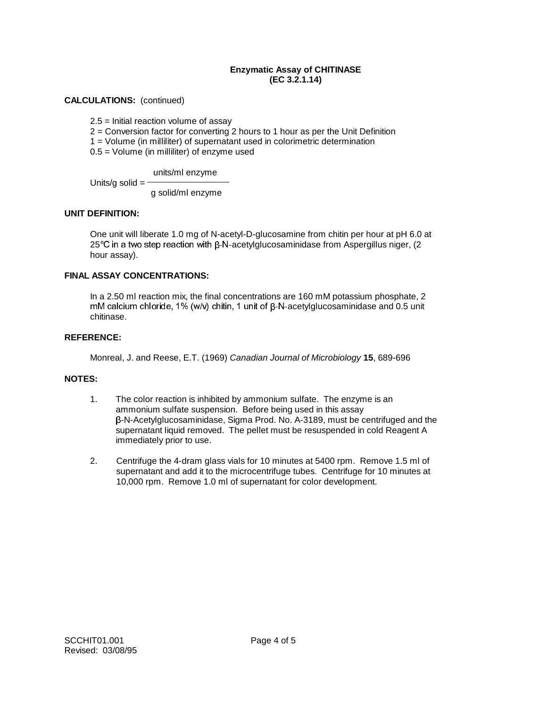# **CALCULATIONS:** (continued)

2.5 = Initial reaction volume of assay

2 = Conversion factor for converting 2 hours to 1 hour as per the Unit Definition

1 = Volume (in milliliter) of supernatant used in colorimetric determination

0.5 = Volume (in milliliter) of enzyme used

units/ml enzyme

Units/g solid  $=$ 

g solid/ml enzyme

## **UNIT DEFINITION:**

One unit will liberate 1.0 mg of N-acetyl-D-glucosamine from chitin per hour at pH 6.0 at  $25^{\circ}$ C in a two step reaction with  $\beta$ -N-acetylglucosaminidase from Aspergillus niger, (2) hour assay).

# **FINAL ASSAY CONCENTRATIONS:**

In a 2.50 ml reaction mix, the final concentrations are 160 mM potassium phosphate, 2  $m$ M calcium chloride, 1% (w/v) chitin, 1 unit of  $\beta$ -N-acetylglucosaminidase and 0.5 unit chitinase.

#### **REFERENCE:**

Monreal, J. and Reese, E.T. (1969) Canadian Journal of Microbiology **15**, 689-696

#### **NOTES:**

- 1. The color reaction is inhibited by ammonium sulfate. The enzyme is an ammonium sulfate suspension. Before being used in this assay -N-Acetylglucosaminidase, Sigma Prod. No. A-3189, must be centrifuged and the supernatant liquid removed. The pellet must be resuspended in cold Reagent A immediately prior to use.
- 2. Centrifuge the 4-dram glass vials for 10 minutes at 5400 rpm. Remove 1.5 ml of supernatant and add it to the microcentrifuge tubes. Centrifuge for 10 minutes at 10,000 rpm. Remove 1.0 ml of supernatant for color development.